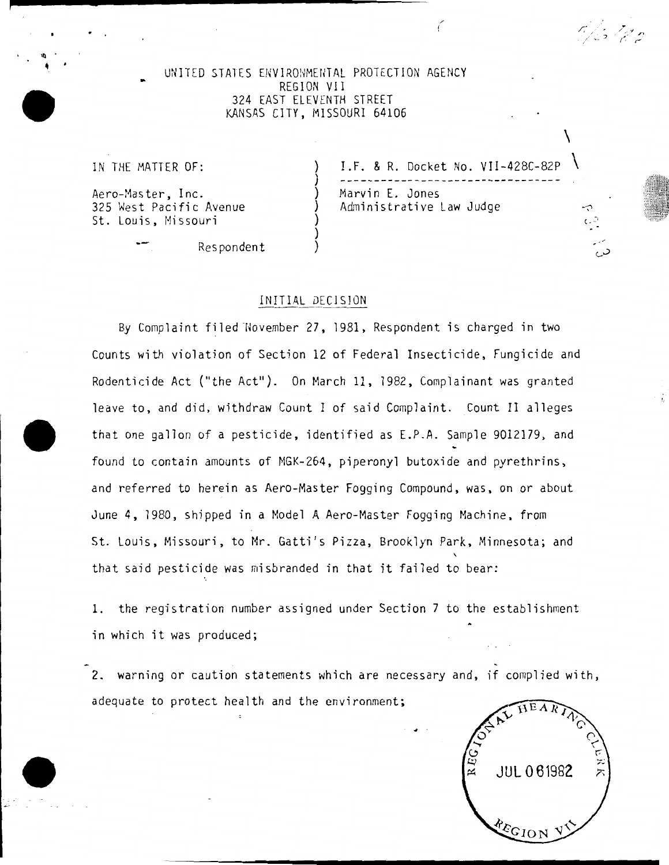#### UNITED STATES ENVIRONMENTAL PROTECTION AGENCY REGION VII 324 EAST ELEVENTH STREET KANSAS CITY, MISSOURI 64106

) ) ) ) ) ) )

Aero-Master, Inc. (a) Marvin E. Jones 325 West Pacific Avenue St. Louis, Missouri

~--------------------- /'

Respondent

IN THE MATTER OF:  $\overline{)}$  I.F. & R. Docket No. VII-428C-82P Administrative Law Judge

 $\setminus$ 

( . ~·

0/15 / gr n

• . •.

i

## INITIAL DECISION

By Complaint filed November 27, 1981, Respondent is charged in two Counts with violation of Section 12 of Federal Insecticide, Fungicide and Rodenticide Act ("the Act"). On March 11, 1982, Complainant was granted leave to, and did, withdraw Count I of said Complaint. Count II alleges that one gallon of a pesticide, identified as E.P.A. Sample 9012179, and found to contain amounts of MGK-264, piperonyl butoxide and pyrethrins, and referred to herein as Aero-Master Fogging Compound, was, on or about June 4, 1980, shipped in a Model A Aero-Master Fogging Machine, from St. Louis, Missouri, to Mr. Gatti's Pizza, Brooklyn Park, Minnesota; and that said pesticide was misbranded in that it failed to bear:

1. the registration number assigned under Section 7 to the establishment in which it was produced;

2. warning or caution statements which are necessary and, if complied with, adequate to protect health and the environment;

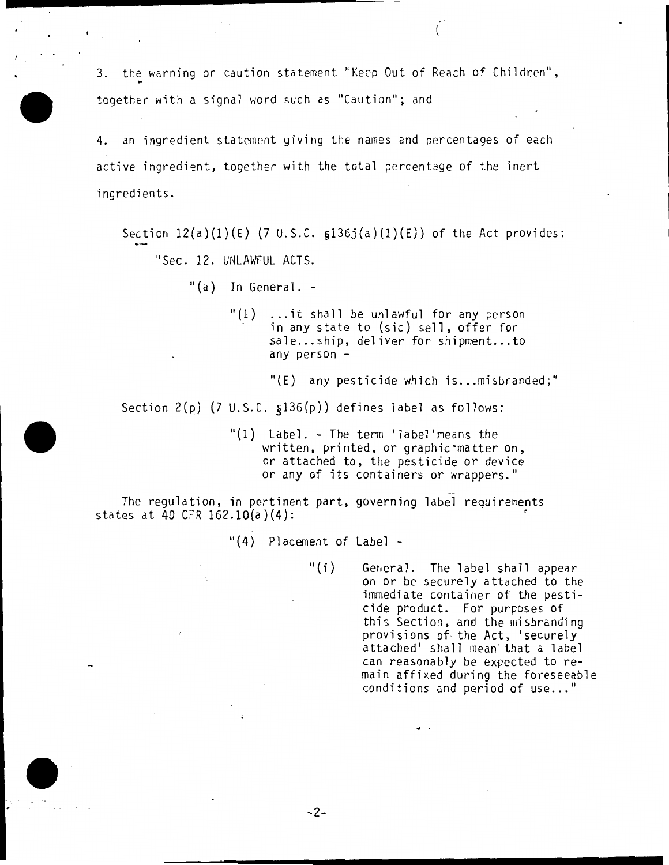3. the warning or caution statement "Keep Out of Reach of Children", together with a signal word such as "Caution"; and

4. an ingredient statement giving the names and percentages of each active ingredient, together with the total percentage of the inert ingredients.

Section  $12(a)(1)(E)$  (7 U.S.C.  $6136j(a)(1)(E)$ ) of the Act provides: "Sec. 12. UNLAWFUL ACTS.

"(a) In General. -

*r-·* 

- "(1) ... it shall be unlawful for any person in any state to (sic) sell, offer for sale...ship, deliver for shipment...to any person -
	- $"(\text{E})$  any pesticide which is...misbranded;"

Section 2(p) (7 U.S.C. §136(p)) defines label as follows:

"(1) Label. - The term 'label'means the written, printed, or graphic matter on, or attached to, the pesticide or device or any of its containers or wrappers."

The regulation, in pertinent part, governing label requirements states at 40 CFR  $162.10(a)(4)$ :

"(4) Placenent of Label -

-2-

"(i) General. The label shall appear on or be securely attached to the immediate container of the pesticide product. For purposes of this Section, and the misbranding provisions of- the Act, 'securely attached' shall mean that a label can reasonably be expected to remain affixed during the foreseeable conditions and period of use..."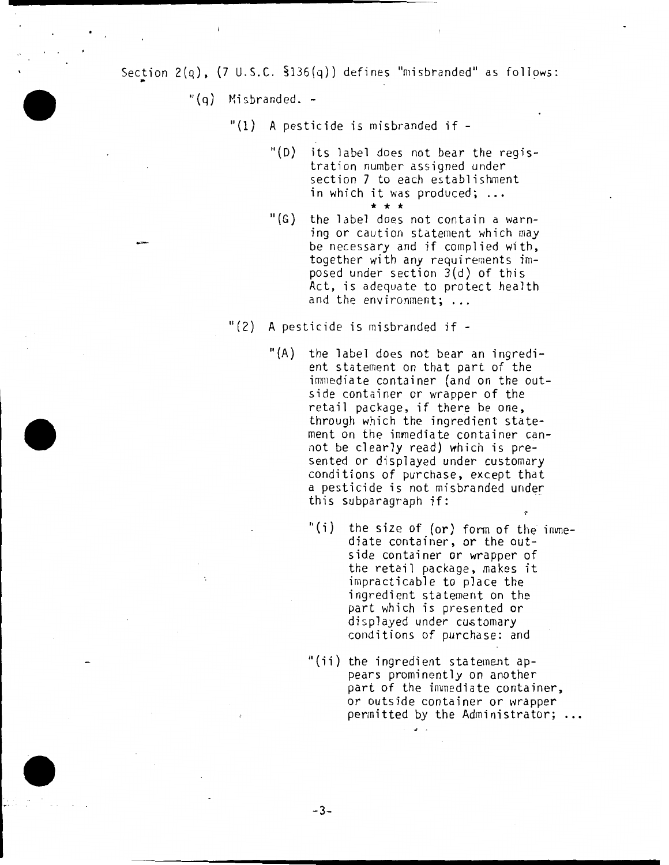Section  $2(q)$ ,  $(7 \cup .5.C. 3136(q))$  defines "misbranded" as follows:

"(q) Misbranded. -

"(1) A pesticide is misbranded if-

- "(D) its label does not bear the registration number assigned under section 7 to each establishment in which it was produced; ...<br> $\qquad \qquad \star \qquad \star$
- $"$ (G) the label does not contain a warning or caution statement which may be necessary and if complied with, together with any requirements imposed under section 3(d) of this Act, is adequate to protect health and the environment; ...

"(2) A pesticide is misbranded if-

-3-

- "(A) the label does not bear an ingredient statement on that part of the immediate container (and on the outside container or wrapper of the retail package, if there be one, through which the ingredient statement on the immediate container cannot be clearly read) which is presented or displayed under customary conditions of purchase, except that a pesticide is not misbranded under this subparagraph if:
	- "(i) the size of (or) fonn of the immediate container, or the outside container or wrapper of the retail package, makes it impracticable to place the ingredient statement on the part which is presented or displayed under customary conditions of purchase: and
	- "(ii) the ingredient statement appears prominently on another part of the immediate container, or outside container or wrapper permitted by the Administrator; ...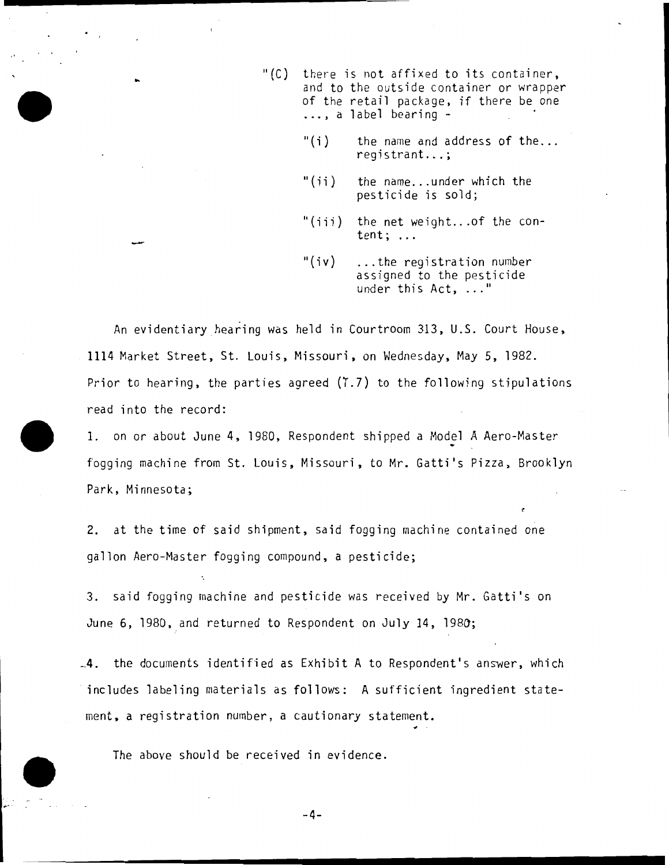- $"$ (C) there is not affixed to its container, and to the outside container or wrapper of the retail package, if there be one<br>..., a label bearing -
	- " $(i)$  the name and address of the...<br>registrant...;
	- " $(i)$  the name...under which the pesticide is sold;
	- "(iii) the net weight... of the content; ...
	- "(iv) ... the registration number assigned to the pesticide under this Act, ... "

An evidentiary hearing was held in Courtroom 313, U.S. Court House, 1114 Market Street, St. Louis, Missouri, on Wednesday, May 5, 1982. Prior to hearing, the parties agreed  $(T.7)$  to the following stipulations read into the record:

1. on or about June 4, 1980, Respondent shipped a Model A Aero-Master fogging machine from St. Louis, Missouri, to Mr. Gatti's Pizza, Brooklyn Park, Minnesota;

2. at the time of said shipment, said fogging machine contained one gallon Aero-Master fogging compound, a pesticide;

3. said fogging machine and pesticide was received by Mr. Gatti's on June 6, 1980, and returned to Respondent on July 14, 1980;

\_4. the documents identified as Exhibit A to Respondent's answer, which · includes labeling materials as follows: A sufficient ingredient statement, a registration number, a cautionary statement.

The above should be received in evidence.

 $\mathcal{L}^{(1)}$ 

-4-

----------------------------................. ..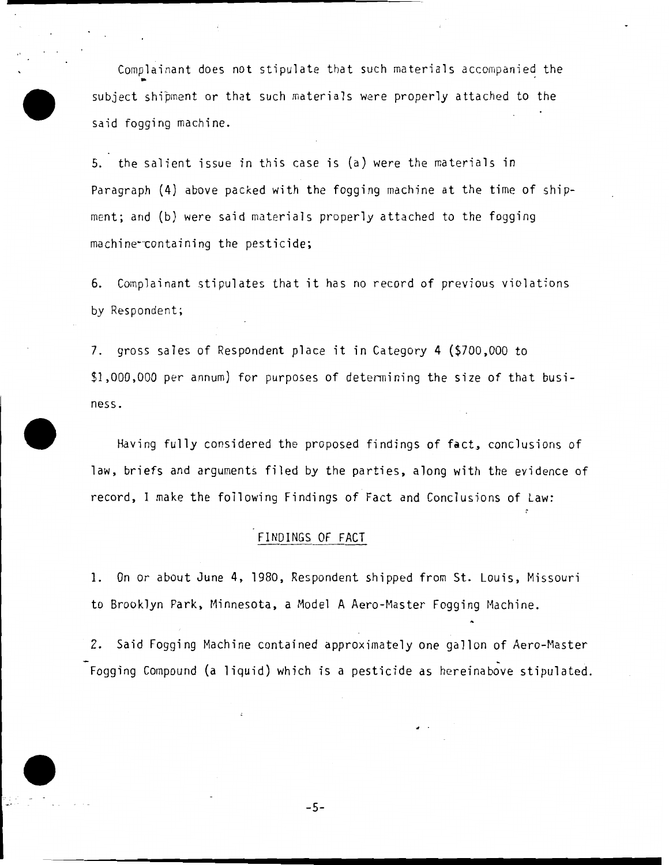Complainant does not stipulate that such materials accompanied the • subject shipment or that such materials were properly attached to the said fogging machine.

5. the salient issue in this case is (a) were the materials in Paragraph (4) above packed with the fogging machine at the time of shipment; and (b) were said materials properly attached to the fogging machine~containing the pesticide;

6. Complainant stipulates that it has no record of previous violations by Respondent;

7. gross sales of Respondent place it in Category 4 (\$700,000 to \$1,000,000 per annum) for purposes of determining the size of that business.

Having fully considered the proposed findings of fact, conclusions of law, briefs and arguments filed by the parties, along with the evidence of record, I make the following Findings of Fact and Conclusions of Law:

### FINDINGS OF FACT

1. On or about June 4, 1980, Respondent shipped from St. Louis, Missouri to Brooklyn Park, Minnesota, a Model A Aero-Master Fogging Machine.

2. Said Fogging Machine contained approximately one gallon of Aero-Master Fogging Compound (a liquid) which is a pesticide as hereinabove stipulated.

-5-

------------------------............... ....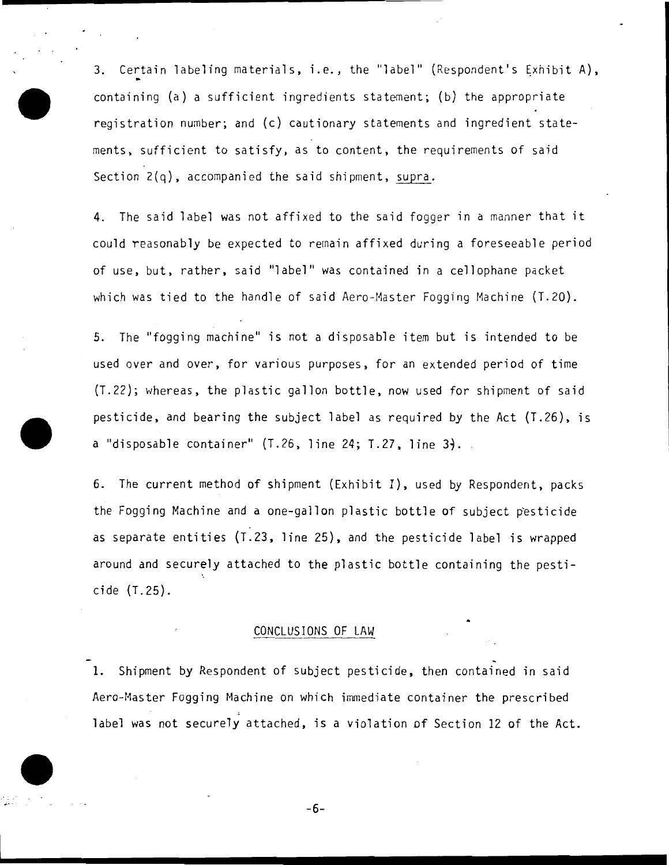3. Certain labeling materials, i.e., the "label" (Respondent's Exhibit A), containing (a) a sufficient ingredients statement; (b) the appropriate registration number; and (c) cautionary statements and ingredient statements, sufficient to satisfy, as to content, the requirements of said Section 2(q), accompanied the said shipment, supra.

4. The said label was not affixed to the said fogger in a manner that it could reasonably be expected to remain affixed during a foreseeable period of use, but, rather, said "label" was contained in a cellophane packet which was tied to the handle of said Aero~Master Fogging Machine (T.20).

5. The "fogging machine" is not a disposable item but is intended to be used over and over, for various purposes, for an extended period of time (T.22); whereas, the plastic gallon bottle, now used for shipment of said pesticide, and bearing the subject label as required by the Act (T.26), is a "disposable container" (T.26, line 24; T.27, line *31.* 

6. The current method of shipment (Exhibit I), used by Respondent, packs the Fogging Machine and a one-gallon plastic bottle of subject pesticide as separate entities (T.23, line 25), and the pesticide label is wrapped around and securely attached to the plastic bottle containing the pesticide (T.25).

### CONCLUSIONS OF LAW

1. Shipment by Respondent of subject pesticide, then contained in said Aero-Master Fogging Machine on which immediate container the prescribed label was not securely attached, is a violation of Section 12 of the Act.

-6-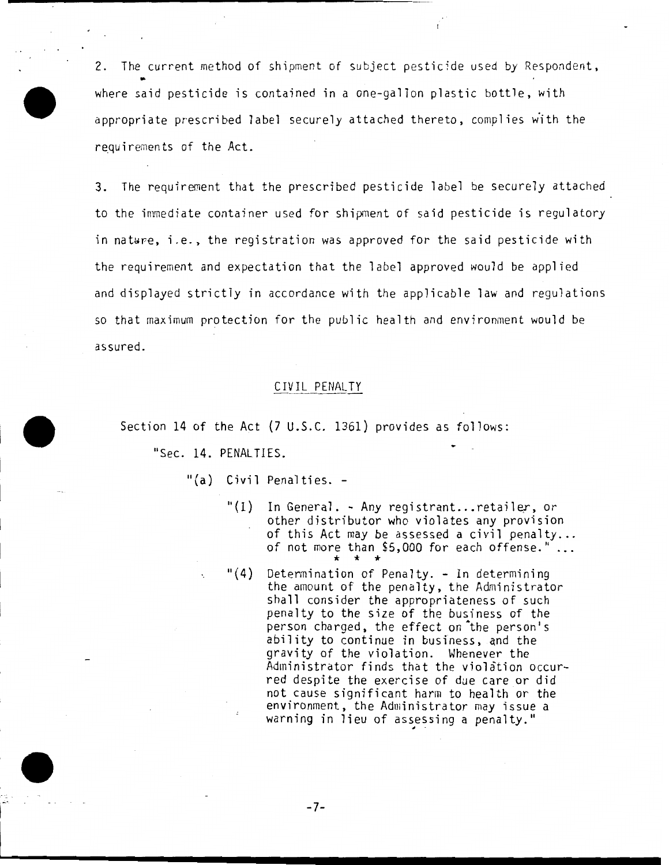2. The current method of shipment of subject pesticide used by Respondent, where said pesticide is contained in a one-gallon plastic bottle, with appropriate prescribed label securely attached thereto, complies with the requirements of the Act.

3. The requirement that the prescribed pesticide label be securely attached to the immediate container used for shipment of said pesticide is regulatory in nature, i.e., the registration was approved for the said pesticide with the requirement and expectation that the label approved would be applied and displayed strictly in accordance with the applicable law and regulations so that maximum protection for the public health and environment would be assured.

#### CIVIL PENALTY

Section 14 of the Act {7 U.S.C. 1361) provides as follows:

"Sec. 14. PENALTIES.

"(a) Civil Penalties. -

- "(1) In General. Any registrant...retailer, or other distributor who violates any provision<br>of this Act may be assessed a civil penalty... of not more than  $$5,000$  for each offense."... \* \* \*
- $"(4)$ Determination of Penalty. - In determining the amount of the penalty, the Administrator shall consider the appropriateness of such penalty to the size of the business of the person charged, the effect on the person's ability to continue in business, and the gravity of the violation. Whenever the Administrator finds that the violation occurred despite the exercise of due care or did not cause significant harm to health or the environment, the Administrator may issue a warning in lieu of assessing a penalty."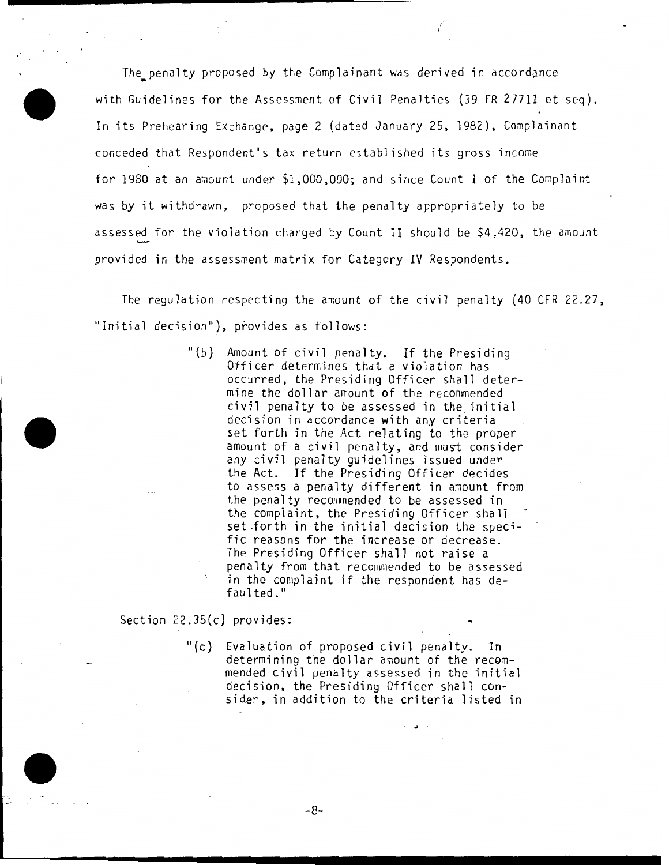The penalty proposed by the Complainant was derived in accordance with Guidelines for the Assessment of Civil Penalties (39 FR 27711 et seq). In its Prehearing Exchange, page 2 (dated January 25, 1982), Complainant conceded that Respondent's tax return established its gross income for 1980 at an amount under \$1,000,000; and since Count I of the Complaint was by it withdrawn, proposed that the penalty appropriately to be assessed for the violation charged by Count II should be \$4,420, the amount provided in the assessment matrix for Category IV Respondents.

..

The regulation respecting the amount of the civil penalty (40 CFR 22.27, "Initial decision"), provides as follows:

> "(b) Amount of civil penalty. If the Presiding Officer determines that a violation has occurred, the Presiding Officer shall determine the dollar amount of the recommended civil penalty to be assessed in the initial decision in accordance with any criteria set forth in the Act relating to the proper amount of a civil penalty, and must consider any civil penalty guidelines issued under the Act. If the Presiding Officer decides to assess a penalty different in amount from the penalty recommended to be assessed in the complaint, the Presiding Officer shall set forth in the initial decision the specific reasons for the increase or decrease. The Presiding Officer shall not raise a penalty from that recommended to be assessed in the complaint if the respondent has defaulted."

Section 22.35(c) provides:

 $\degree$ (c) Evaluation of proposed civil penalty. In determining the dollar amount of the recommended civil penalty assessed in the initial decision, the Presiding Officer shall consider, in addition to the criteria listed in

-8-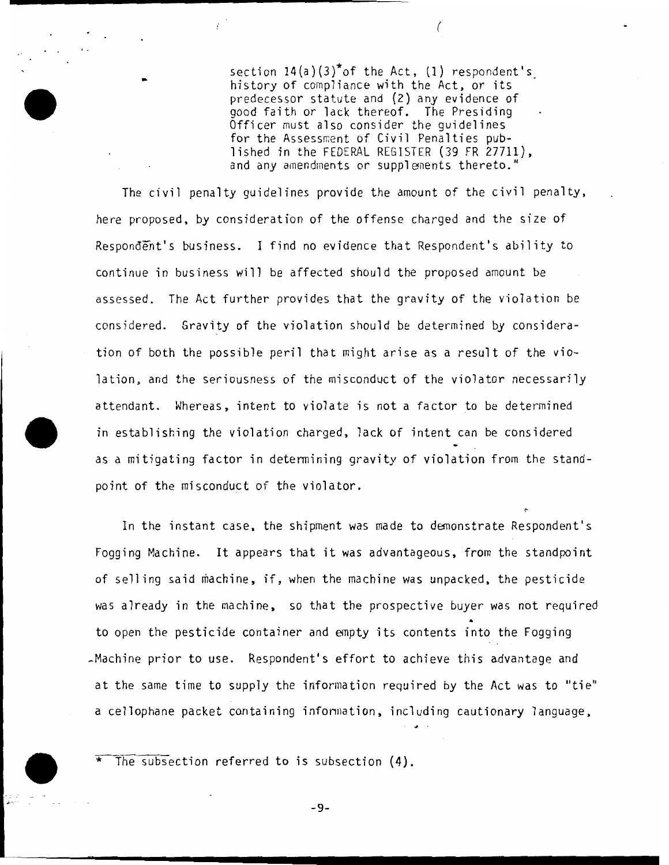section  $14(a)(3)^{*}$ of the Act, (1) respondent's<sub>.</sub><br>history of compliance with the Act, or its predecessor statute and (2) any evidence of good faith or lack thereof. The Presiding Officer must also consider the guidelines for the Assessment of Civil Penalties published in the FEDERAL REGISTER (39 FR 27711), and any amendments or supplenents thereto."

(

The civil penalty guidelines provide the amount of the civil penalty, here proposed, by consideration of the offense charged and the size of Respondent's business. I find no evidence that Respondent's ability to continue in business will be affected should the proposed amount be assessed. The Act further provides that the gravity of the violation be considered. Gravity of the violation should be determined by consideration of both the possible peril that might arise as a result of the violation, and the seriousness of the misconduct of the violator necessarily attendant. Whereas, intent to violate is not a factor to be determined in establishing the violation charged, lack of intent can be considered as a mitigating factor in determining gravity of violation from the standpoint of the misconduct of the violator.

In the instant case, the shipment was made to demonstrate Respondent's Fogging Machine. It appears that it was advantageous, from the standpoint of selling said machine, if, when the machine was unpacked, the pesticide was already in the machine, so that the prospective buyer was not required to open the pesticide container and empty its contents into the Fogging -Machine prior to use. Respondent's effort to achieve this advantage and at the same time to supply the information required by the Act was to "tie" a cellophane packet containing infonnation, including cautionary language,

The subsection referred to is subsection  $(4)$ .

-9-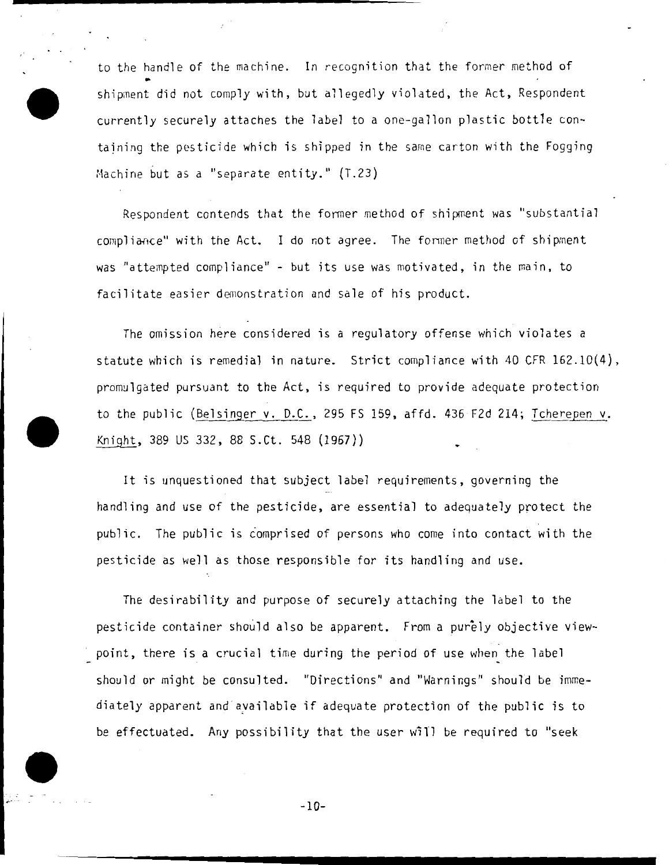to the handle of the machine. In recognition that the former method of shipment did not comply with, but allegedly violated, the Act, Respondent currently securely attaches the label to a one-gallon plastic bott1e containing the pesticide which is shipped in the same carton with the Fogging Machine but as a "separate entity." (T.23)

.......... \_\_\_\_\_\_\_\_\_\_\_\_\_\_ \_\_

Respondent contends that the former method of shipment was "substantial compliance" with the Act. I do not agree. The former method of shipment was "attempted compliance" - but its use was motivated, in the main, to facilitate easier demonstration and sale of his product.

The omission here considered is a regulatory offense which violates a statute which is remedial in nature. Strict compliance with 40 CFR 162.10(4), promulgated pursuant to the Act, is required to provide adequate protection to the public (Belsinger v. D.C., 295 FS 159, affd. 436 F2d 214; Tcherepen v. Knight, 389 US 332, 88 S.Ct. 548 (1967))

It is unquestioned that subject label requirements, governing the handling and use of the pesticide, are essential to adequately protect the public. The public is comprised of persons who come into contact with the pesticide as well as those responsible for its handling and use.

The desirability and purpose of securely attaching the label to the pesticide container should also be apparent. From a purely objective viewpoint, there is a crucial time during the period of use when the label should or might be consul ted. "Directions" and "Warnings" should be immediately apparent and ayailable if adequate protection of the public is to be effectuated. Any possibility that the user will be required to "seek

-10-

 $, \cdots$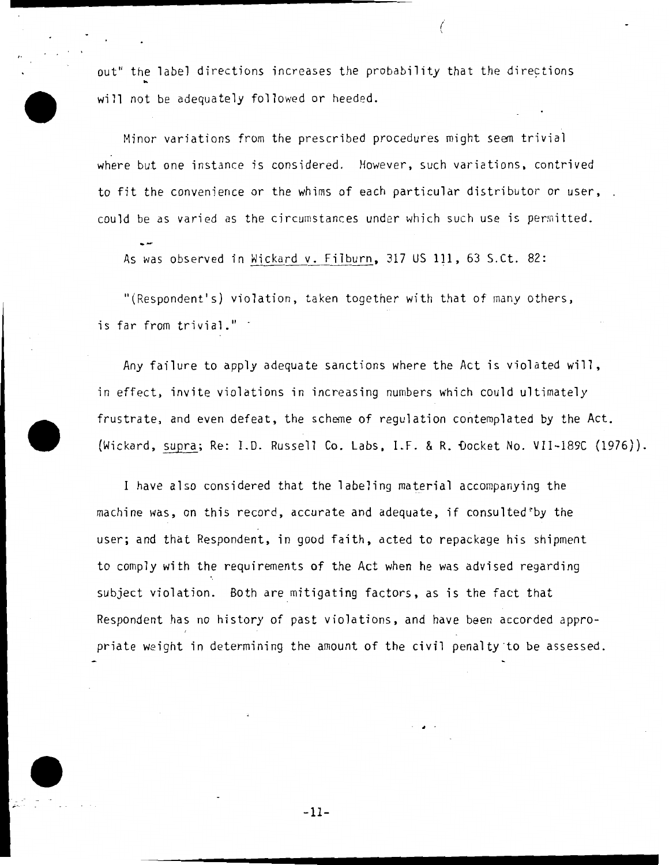out" the label directions increases the probability that the directions will not be adequately followed or heeded.

/ \

Minor variations from the prescribed procedures might seem trivial where but one instance is considered. However, such variations, contrived to fit the convenience or the whims of each particular distributor or user, could be as varied as the circumstances under which such use is permitted.

As was observed in Wickard v. Filburn, 317 US 111, 63 S.Ct. 82:

"(Respondent's) violation, taken together with that of many others, is far from trivial." -

Any failure to apply adequate sanctions where the Act is violated will, in effect, invite violations in increasing numbers which could ultimately frustrate, and even defeat, the scheme of regulation contemplated by the Act. (Wickard, supra; Re: I.D. Russell Co. Labs, l.F. & R. ~ocket No. VII-189C (1976)).

I have also considered that the labeling material accompanying the machine was, on this record, accurate and adequate, if consulted by the user; and that Respondent, in good faith, acted to repackage his shipment to comply with the requirements of the Act when he was advised regarding subject violation. Both are mitigating factors, as is the fact that Respondent has no history of past violations, and have been accorded appropriate weight in determining the amount of the civil penalty ·to be assessed.

-11-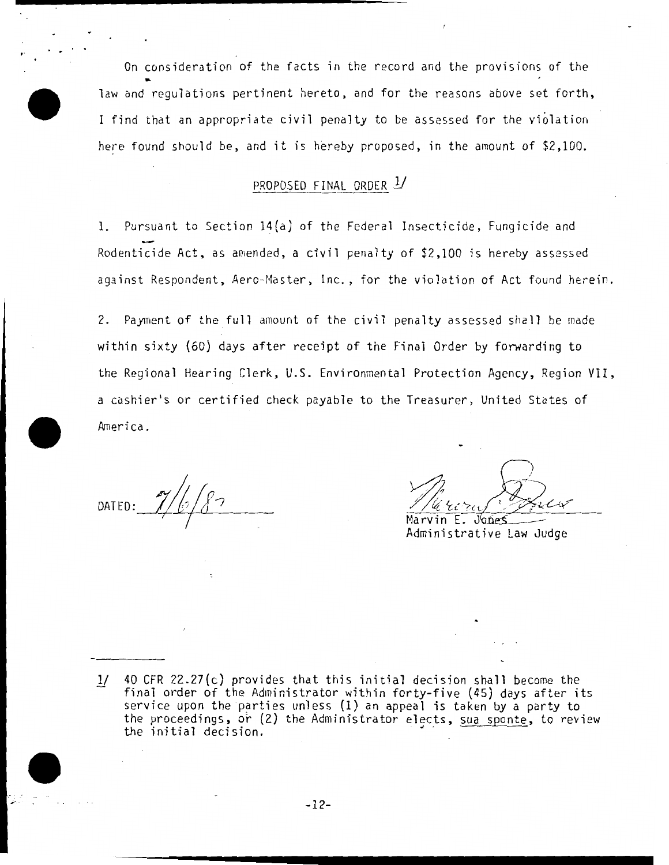On consideration of the facts in the record and the provisions of the law and regulations pertinent hereto, and for the reasons above set forth, I find that an appropriate civil penalty to be assessed for the violation here found should be, and it is hereby proposed, in the amount of  $$2,100$ .

# PROPOSED FINAL ORDER *1J*

1. Pursuant to Section 14(a) of the Federal Insecticide, Fungicide and Rodenticide Act, as amended, a civil penalty of \$2,100 is hereby assessed against Respondent, Aero-Master, Inc., for the violation of Act found herein.

2. Payment of the full amount of the civil penalty assessed shall be made within sixty (60) days after receipt of the Final Order by forwarding to the Regional Hearing Clerk, U.S. Environmental Protection Agency, Region VII, a cashier's or certified check payable to the Treasurer, United States of .America.

DATED:

,  $\frac{1}{n}$ ,  $\frac{1}{n}$ ,  $\frac{1}{n}$ 

Marvin E. Jones Administrative Law Judge

40 CFR 22.27(c) provides that this initial decision shall become the  $1/$ final order of the Administrator within forty-five (45) days after its service upon the parties unless (1) an appeal is taken by a party to the proceedings, or (2) the Administrator elects, sua sponte, to review the initial decision.